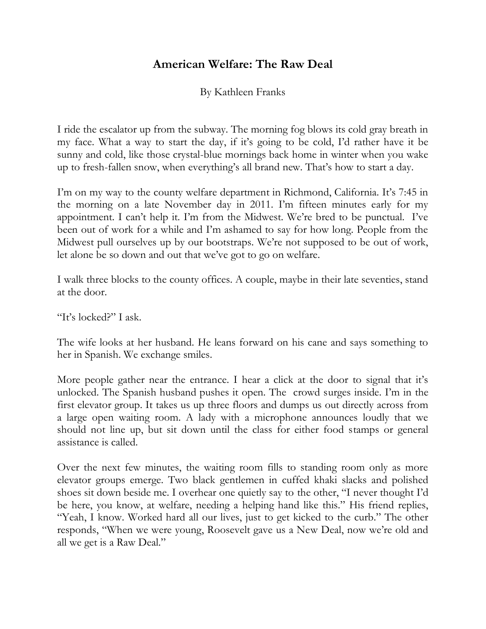## **American Welfare: The Raw Deal**

By Kathleen Franks

I ride the escalator up from the subway. The morning fog blows its cold gray breath in my face. What a way to start the day, if it's going to be cold, I'd rather have it be sunny and cold, like those crystal-blue mornings back home in winter when you wake up to fresh-fallen snow, when everything's all brand new. That's how to start a day.

I'm on my way to the county welfare department in Richmond, California. It's 7:45 in the morning on a late November day in 2011. I'm fifteen minutes early for my appointment. I can't help it. I'm from the Midwest. We're bred to be punctual. I've been out of work for a while and I'm ashamed to say for how long. People from the Midwest pull ourselves up by our bootstraps. We're not supposed to be out of work, let alone be so down and out that we've got to go on welfare.

I walk three blocks to the county offices. A couple, maybe in their late seventies, stand at the door.

"It's locked?" I ask.

The wife looks at her husband. He leans forward on his cane and says something to her in Spanish. We exchange smiles.

More people gather near the entrance. I hear a click at the door to signal that it's unlocked. The Spanish husband pushes it open. The crowd surges inside. I'm in the first elevator group. It takes us up three floors and dumps us out directly across from a large open waiting room. A lady with a microphone announces loudly that we should not line up, but sit down until the class for either food stamps or general assistance is called.

Over the next few minutes, the waiting room fills to standing room only as more elevator groups emerge. Two black gentlemen in cuffed khaki slacks and polished shoes sit down beside me. I overhear one quietly say to the other, "I never thought I'd be here, you know, at welfare, needing a helping hand like this." His friend replies, "Yeah, I know. Worked hard all our lives, just to get kicked to the curb." The other responds, "When we were young, Roosevelt gave us a New Deal, now we're old and all we get is a Raw Deal."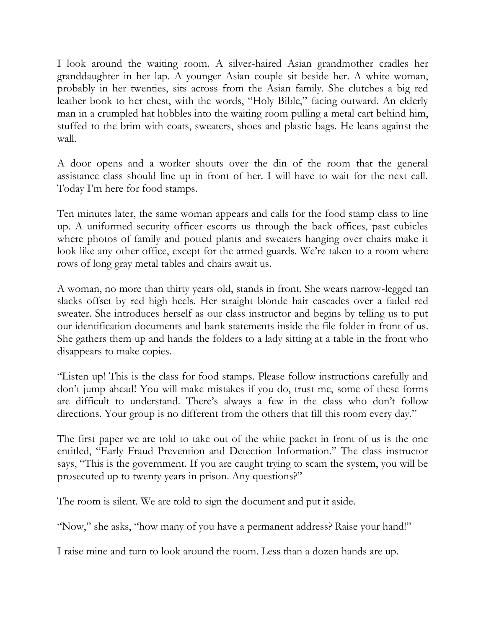I look around the waiting room. A silver-haired Asian grandmother cradles her granddaughter in her lap. A younger Asian couple sit beside her. A white woman, probably in her twenties, sits across from the Asian family. She clutches a big red leather book to her chest, with the words, "Holy Bible," facing outward. An elderly man in a crumpled hat hobbles into the waiting room pulling a metal cart behind him, stuffed to the brim with coats, sweaters, shoes and plastic bags. He leans against the wall.

A door opens and a worker shouts over the din of the room that the general assistance class should line up in front of her. I will have to wait for the next call. Today I'm here for food stamps.

Ten minutes later, the same woman appears and calls for the food stamp class to line up. A uniformed security officer escorts us through the back offices, past cubicles where photos of family and potted plants and sweaters hanging over chairs make it look like any other office, except for the armed guards. We're taken to a room where rows of long gray metal tables and chairs await us.

A woman, no more than thirty years old, stands in front. She wears narrow-legged tan slacks offset by red high heels. Her straight blonde hair cascades over a faded red sweater. She introduces herself as our class instructor and begins by telling us to put our identification documents and bank statements inside the file folder in front of us. She gathers them up and hands the folders to a lady sitting at a table in the front who disappears to make copies.

"Listen up! This is the class for food stamps. Please follow instructions carefully and don't jump ahead! You will make mistakes if you do, trust me, some of these forms are difficult to understand. There's always a few in the class who don't follow directions. Your group is no different from the others that fill this room every day."

The first paper we are told to take out of the white packet in front of us is the one entitled, "Early Fraud Prevention and Detection Information." The class instructor says, "This is the government. If you are caught trying to scam the system, you will be prosecuted up to twenty years in prison. Any questions?"

The room is silent. We are told to sign the document and put it aside.

"Now," she asks, "how many of you have a permanent address? Raise your hand!"

I raise mine and turn to look around the room. Less than a dozen hands are up.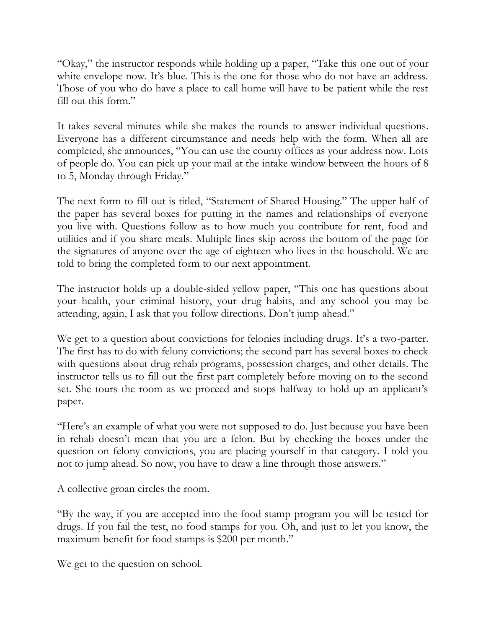"Okay," the instructor responds while holding up a paper, "Take this one out of your white envelope now. It's blue. This is the one for those who do not have an address. Those of you who do have a place to call home will have to be patient while the rest fill out this form."

It takes several minutes while she makes the rounds to answer individual questions. Everyone has a different circumstance and needs help with the form. When all are completed, she announces, "You can use the county offices as your address now. Lots of people do. You can pick up your mail at the intake window between the hours of 8 to 5, Monday through Friday."

The next form to fill out is titled, "Statement of Shared Housing." The upper half of the paper has several boxes for putting in the names and relationships of everyone you live with. Questions follow as to how much you contribute for rent, food and utilities and if you share meals. Multiple lines skip across the bottom of the page for the signatures of anyone over the age of eighteen who lives in the household. We are told to bring the completed form to our next appointment.

The instructor holds up a double-sided yellow paper, "This one has questions about your health, your criminal history, your drug habits, and any school you may be attending, again, I ask that you follow directions. Don't jump ahead."

We get to a question about convictions for felonies including drugs. It's a two-parter. The first has to do with felony convictions; the second part has several boxes to check with questions about drug rehab programs, possession charges, and other details. The instructor tells us to fill out the first part completely before moving on to the second set. She tours the room as we proceed and stops halfway to hold up an applicant's paper.

"Here's an example of what you were not supposed to do. Just because you have been in rehab doesn't mean that you are a felon. But by checking the boxes under the question on felony convictions, you are placing yourself in that category. I told you not to jump ahead. So now, you have to draw a line through those answers."

A collective groan circles the room.

"By the way, if you are accepted into the food stamp program you will be tested for drugs. If you fail the test, no food stamps for you. Oh, and just to let you know, the maximum benefit for food stamps is \$200 per month."

We get to the question on school.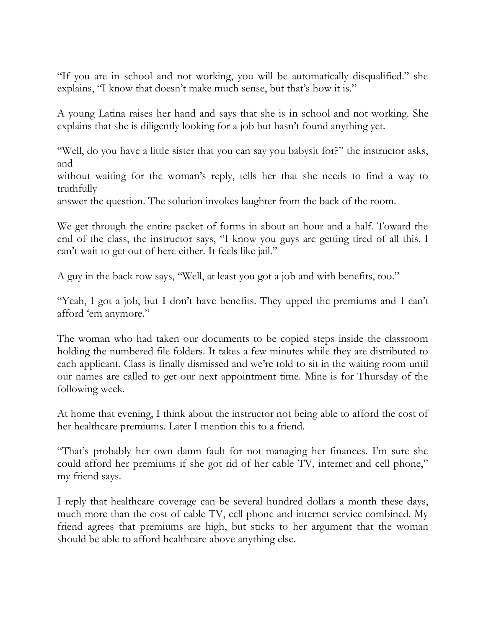"If you are in school and not working, you will be automatically disqualified." she explains, "I know that doesn't make much sense, but that's how it is."

A young Latina raises her hand and says that she is in school and not working. She explains that she is diligently looking for a job but hasn't found anything yet.

"Well, do you have a little sister that you can say you babysit for?" the instructor asks, and

without waiting for the woman's reply, tells her that she needs to find a way to truthfully

answer the question. The solution invokes laughter from the back of the room.

We get through the entire packet of forms in about an hour and a half. Toward the end of the class, the instructor says, "I know you guys are getting tired of all this. I can't wait to get out of here either. It feels like jail."

A guy in the back row says, "Well, at least you got a job and with benefits, too."

"Yeah, I got a job, but I don't have benefits. They upped the premiums and I can't afford 'em anymore."

The woman who had taken our documents to be copied steps inside the classroom holding the numbered file folders. It takes a few minutes while they are distributed to each applicant. Class is finally dismissed and we're told to sit in the waiting room until our names are called to get our next appointment time. Mine is for Thursday of the following week.

At home that evening, I think about the instructor not being able to afford the cost of her healthcare premiums. Later I mention this to a friend.

"That's probably her own damn fault for not managing her finances. I'm sure she could afford her premiums if she got rid of her cable TV, internet and cell phone," my friend says.

I reply that healthcare coverage can be several hundred dollars a month these days, much more than the cost of cable TV, cell phone and internet service combined. My friend agrees that premiums are high, but sticks to her argument that the woman should be able to afford healthcare above anything else.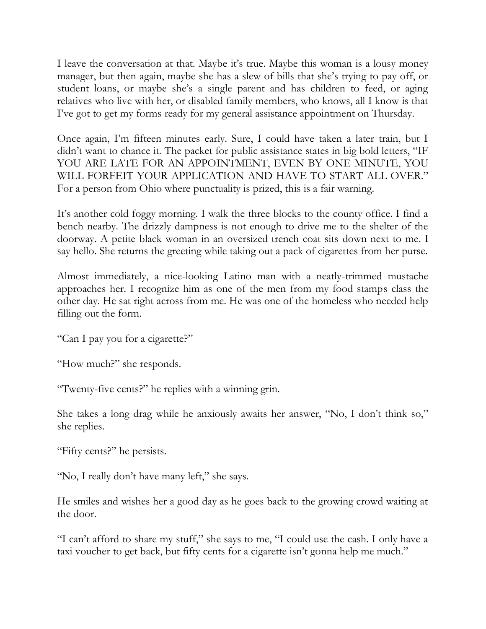I leave the conversation at that. Maybe it's true. Maybe this woman is a lousy money manager, but then again, maybe she has a slew of bills that she's trying to pay off, or student loans, or maybe she's a single parent and has children to feed, or aging relatives who live with her, or disabled family members, who knows, all I know is that I've got to get my forms ready for my general assistance appointment on Thursday.

Once again, I'm fifteen minutes early. Sure, I could have taken a later train, but I didn't want to chance it. The packet for public assistance states in big bold letters, "IF YOU ARE LATE FOR AN APPOINTMENT, EVEN BY ONE MINUTE, YOU WILL FORFEIT YOUR APPLICATION AND HAVE TO START ALL OVER." For a person from Ohio where punctuality is prized, this is a fair warning.

It's another cold foggy morning. I walk the three blocks to the county office. I find a bench nearby. The drizzly dampness is not enough to drive me to the shelter of the doorway. A petite black woman in an oversized trench coat sits down next to me. I say hello. She returns the greeting while taking out a pack of cigarettes from her purse.

Almost immediately, a nice-looking Latino man with a neatly-trimmed mustache approaches her. I recognize him as one of the men from my food stamps class the other day. He sat right across from me. He was one of the homeless who needed help filling out the form.

"Can I pay you for a cigarette?"

"How much?" she responds.

"Twenty-five cents?" he replies with a winning grin.

She takes a long drag while he anxiously awaits her answer, "No, I don't think so," she replies.

"Fifty cents?" he persists.

"No, I really don't have many left," she says.

He smiles and wishes her a good day as he goes back to the growing crowd waiting at the door.

"I can't afford to share my stuff," she says to me, "I could use the cash. I only have a taxi voucher to get back, but fifty cents for a cigarette isn't gonna help me much."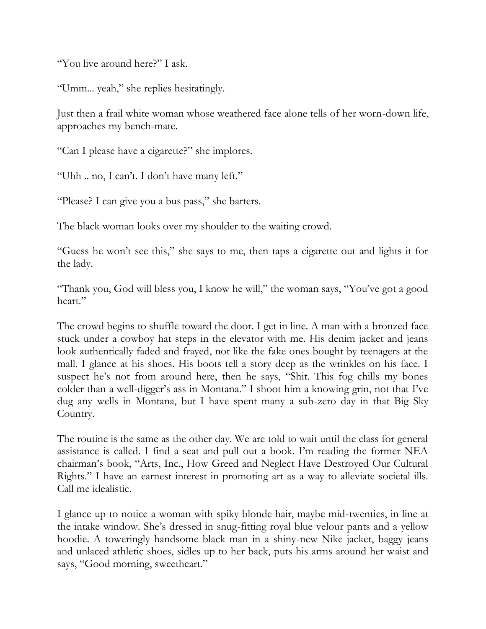"You live around here?" I ask.

"Umm... yeah," she replies hesitatingly.

Just then a frail white woman whose weathered face alone tells of her worn-down life, approaches my bench-mate.

"Can I please have a cigarette?" she implores.

"Uhh .. no, I can't. I don't have many left."

"Please? I can give you a bus pass," she barters.

The black woman looks over my shoulder to the waiting crowd.

"Guess he won't see this," she says to me, then taps a cigarette out and lights it for the lady.

"Thank you, God will bless you, I know he will," the woman says, "You've got a good heart."

The crowd begins to shuffle toward the door. I get in line. A man with a bronzed face stuck under a cowboy hat steps in the elevator with me. His denim jacket and jeans look authentically faded and frayed, not like the fake ones bought by teenagers at the mall. I glance at his shoes. His boots tell a story deep as the wrinkles on his face. I suspect he's not from around here, then he says, "Shit. This fog chills my bones colder than a well-digger's ass in Montana." I shoot him a knowing grin, not that I've dug any wells in Montana, but I have spent many a sub-zero day in that Big Sky Country.

The routine is the same as the other day. We are told to wait until the class for general assistance is called. I find a seat and pull out a book. I'm reading the former NEA chairman's book, "Arts, Inc., How Greed and Neglect Have Destroyed Our Cultural Rights." I have an earnest interest in promoting art as a way to alleviate societal ills. Call me idealistic.

I glance up to notice a woman with spiky blonde hair, maybe mid-twenties, in line at the intake window. She's dressed in snug-fitting royal blue velour pants and a yellow hoodie. A toweringly handsome black man in a shiny-new Nike jacket, baggy jeans and unlaced athletic shoes, sidles up to her back, puts his arms around her waist and says, "Good morning, sweetheart."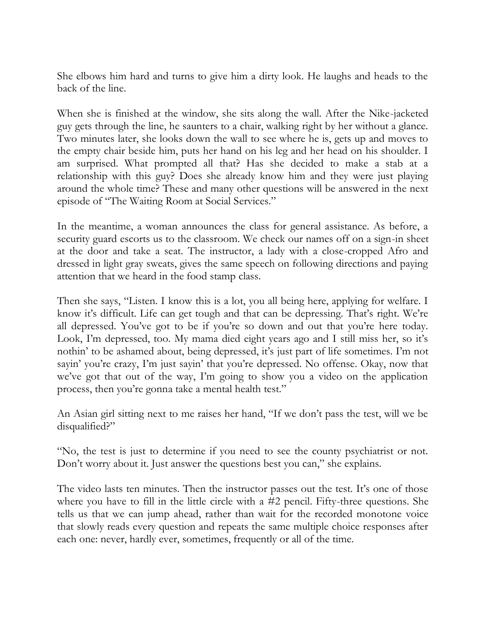She elbows him hard and turns to give him a dirty look. He laughs and heads to the back of the line.

When she is finished at the window, she sits along the wall. After the Nike-jacketed guy gets through the line, he saunters to a chair, walking right by her without a glance. Two minutes later, she looks down the wall to see where he is, gets up and moves to the empty chair beside him, puts her hand on his leg and her head on his shoulder. I am surprised. What prompted all that? Has she decided to make a stab at a relationship with this guy? Does she already know him and they were just playing around the whole time? These and many other questions will be answered in the next episode of "The Waiting Room at Social Services."

In the meantime, a woman announces the class for general assistance. As before, a security guard escorts us to the classroom. We check our names off on a sign-in sheet at the door and take a seat. The instructor, a lady with a close-cropped Afro and dressed in light gray sweats, gives the same speech on following directions and paying attention that we heard in the food stamp class.

Then she says, "Listen. I know this is a lot, you all being here, applying for welfare. I know it's difficult. Life can get tough and that can be depressing. That's right. We're all depressed. You've got to be if you're so down and out that you're here today. Look, I'm depressed, too. My mama died eight years ago and I still miss her, so it's nothin' to be ashamed about, being depressed, it's just part of life sometimes. I'm not sayin' you're crazy, I'm just sayin' that you're depressed. No offense. Okay, now that we've got that out of the way, I'm going to show you a video on the application process, then you're gonna take a mental health test."

An Asian girl sitting next to me raises her hand, "If we don't pass the test, will we be disqualified?"

"No, the test is just to determine if you need to see the county psychiatrist or not. Don't worry about it. Just answer the questions best you can," she explains.

The video lasts ten minutes. Then the instructor passes out the test. It's one of those where you have to fill in the little circle with a #2 pencil. Fifty-three questions. She tells us that we can jump ahead, rather than wait for the recorded monotone voice that slowly reads every question and repeats the same multiple choice responses after each one: never, hardly ever, sometimes, frequently or all of the time.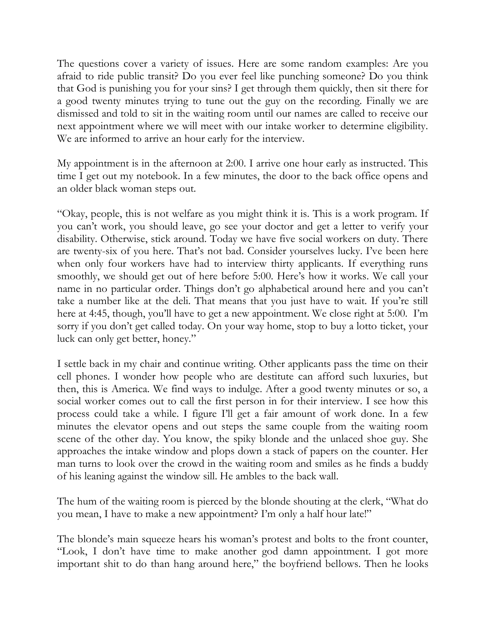The questions cover a variety of issues. Here are some random examples: Are you afraid to ride public transit? Do you ever feel like punching someone? Do you think that God is punishing you for your sins? I get through them quickly, then sit there for a good twenty minutes trying to tune out the guy on the recording. Finally we are dismissed and told to sit in the waiting room until our names are called to receive our next appointment where we will meet with our intake worker to determine eligibility. We are informed to arrive an hour early for the interview.

My appointment is in the afternoon at 2:00. I arrive one hour early as instructed. This time I get out my notebook. In a few minutes, the door to the back office opens and an older black woman steps out.

"Okay, people, this is not welfare as you might think it is. This is a work program. If you can't work, you should leave, go see your doctor and get a letter to verify your disability. Otherwise, stick around. Today we have five social workers on duty. There are twenty-six of you here. That's not bad. Consider yourselves lucky. I've been here when only four workers have had to interview thirty applicants. If everything runs smoothly, we should get out of here before 5:00. Here's how it works. We call your name in no particular order. Things don't go alphabetical around here and you can't take a number like at the deli. That means that you just have to wait. If you're still here at 4:45, though, you'll have to get a new appointment. We close right at 5:00. I'm sorry if you don't get called today. On your way home, stop to buy a lotto ticket, your luck can only get better, honey."

I settle back in my chair and continue writing. Other applicants pass the time on their cell phones. I wonder how people who are destitute can afford such luxuries, but then, this is America. We find ways to indulge. After a good twenty minutes or so, a social worker comes out to call the first person in for their interview. I see how this process could take a while. I figure I'll get a fair amount of work done. In a few minutes the elevator opens and out steps the same couple from the waiting room scene of the other day. You know, the spiky blonde and the unlaced shoe guy. She approaches the intake window and plops down a stack of papers on the counter. Her man turns to look over the crowd in the waiting room and smiles as he finds a buddy of his leaning against the window sill. He ambles to the back wall.

The hum of the waiting room is pierced by the blonde shouting at the clerk, "What do you mean, I have to make a new appointment? I'm only a half hour late!"

The blonde's main squeeze hears his woman's protest and bolts to the front counter, "Look, I don't have time to make another god damn appointment. I got more important shit to do than hang around here," the boyfriend bellows. Then he looks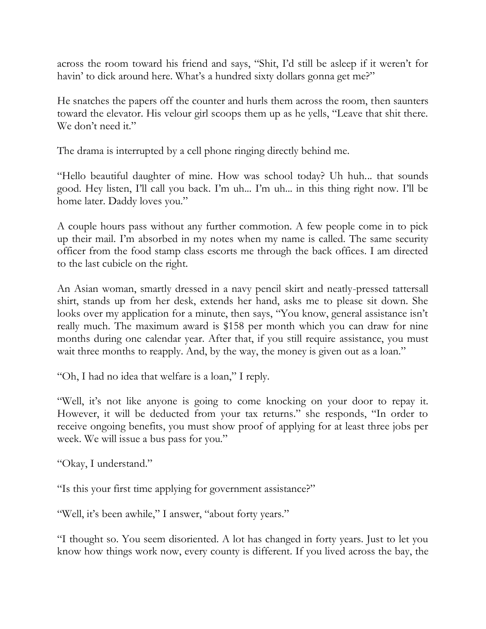across the room toward his friend and says, "Shit, I'd still be asleep if it weren't for havin' to dick around here. What's a hundred sixty dollars gonna get me?"

He snatches the papers off the counter and hurls them across the room, then saunters toward the elevator. His velour girl scoops them up as he yells, "Leave that shit there. We don't need it."

The drama is interrupted by a cell phone ringing directly behind me.

"Hello beautiful daughter of mine. How was school today? Uh huh... that sounds good. Hey listen, I'll call you back. I'm uh... I'm uh... in this thing right now. I'll be home later. Daddy loves you."

A couple hours pass without any further commotion. A few people come in to pick up their mail. I'm absorbed in my notes when my name is called. The same security officer from the food stamp class escorts me through the back offices. I am directed to the last cubicle on the right.

An Asian woman, smartly dressed in a navy pencil skirt and neatly-pressed tattersall shirt, stands up from her desk, extends her hand, asks me to please sit down. She looks over my application for a minute, then says, "You know, general assistance isn't really much. The maximum award is \$158 per month which you can draw for nine months during one calendar year. After that, if you still require assistance, you must wait three months to reapply. And, by the way, the money is given out as a loan."

"Oh, I had no idea that welfare is a loan," I reply.

"Well, it's not like anyone is going to come knocking on your door to repay it. However, it will be deducted from your tax returns." she responds, "In order to receive ongoing benefits, you must show proof of applying for at least three jobs per week. We will issue a bus pass for you."

"Okay, I understand."

"Is this your first time applying for government assistance?"

"Well, it's been awhile," I answer, "about forty years."

"I thought so. You seem disoriented. A lot has changed in forty years. Just to let you know how things work now, every county is different. If you lived across the bay, the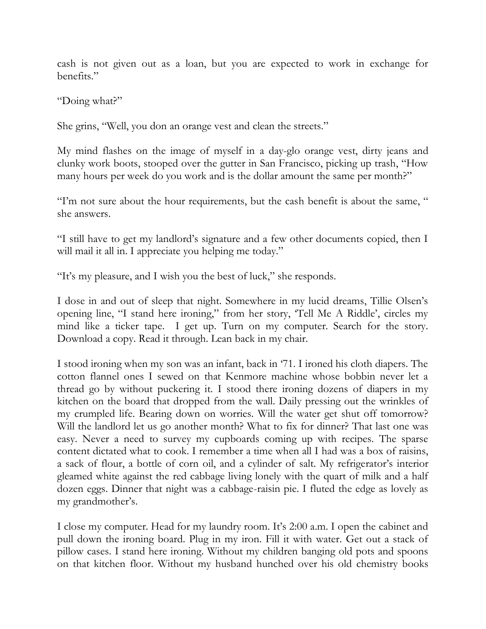cash is not given out as a loan, but you are expected to work in exchange for benefits."

"Doing what?"

She grins, "Well, you don an orange vest and clean the streets."

My mind flashes on the image of myself in a day-glo orange vest, dirty jeans and clunky work boots, stooped over the gutter in San Francisco, picking up trash, "How many hours per week do you work and is the dollar amount the same per month?"

"I'm not sure about the hour requirements, but the cash benefit is about the same, " she answers.

"I still have to get my landlord's signature and a few other documents copied, then I will mail it all in. I appreciate you helping me today."

"It's my pleasure, and I wish you the best of luck," she responds.

I dose in and out of sleep that night. Somewhere in my lucid dreams, Tillie Olsen's opening line, "I stand here ironing," from her story, 'Tell Me A Riddle', circles my mind like a ticker tape. I get up. Turn on my computer. Search for the story. Download a copy. Read it through. Lean back in my chair.

I stood ironing when my son was an infant, back in '71. I ironed his cloth diapers. The cotton flannel ones I sewed on that Kenmore machine whose bobbin never let a thread go by without puckering it. I stood there ironing dozens of diapers in my kitchen on the board that dropped from the wall. Daily pressing out the wrinkles of my crumpled life. Bearing down on worries. Will the water get shut off tomorrow? Will the landlord let us go another month? What to fix for dinner? That last one was easy. Never a need to survey my cupboards coming up with recipes. The sparse content dictated what to cook. I remember a time when all I had was a box of raisins, a sack of flour, a bottle of corn oil, and a cylinder of salt. My refrigerator's interior gleamed white against the red cabbage living lonely with the quart of milk and a half dozen eggs. Dinner that night was a cabbage-raisin pie. I fluted the edge as lovely as my grandmother's.

I close my computer. Head for my laundry room. It's 2:00 a.m. I open the cabinet and pull down the ironing board. Plug in my iron. Fill it with water. Get out a stack of pillow cases. I stand here ironing. Without my children banging old pots and spoons on that kitchen floor. Without my husband hunched over his old chemistry books